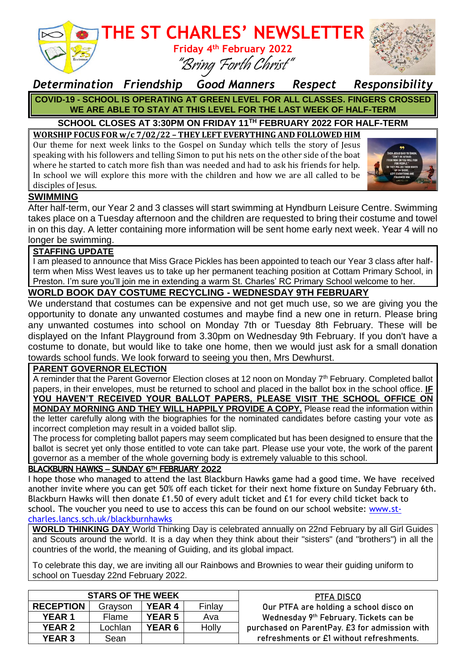

# **THE ST CHARLES' NEWSLETTER**

**Friday 4 th February 2022** "Bring Forth Christ"



## *Determination Friendship Good Manners Respect Responsibility* **COVID-19 - SCHOOL IS OPERATING AT GREEN LEVEL FOR ALL CLASSES. FINGERS CROSSED WE ARE ABLE TO STAY AT THIS LEVEL FOR THE LAST WEEK OF HALF-TERM**

# **SCHOOL CLOSES AT 3:30PM ON FRIDAY 11 TH FEBRUARY 2022 FOR HALF-TERM**

**WORSHIP FOCUS FOR w/c 7/02/22 – THEY LEFT EVERYTHING AND FOLLOWED HIM** Our theme for next week links to the Gospel on Sunday which tells the story of Jesus speaking with his followers and telling Simon to put his nets on the other side of the boat where he started to catch more fish than was needed and had to ask his friends for help. In school we will explore this more with the children and how we are all called to be disciples of Jesus.



## **SWIMMING**

After half-term, our Year 2 and 3 classes will start swimming at Hyndburn Leisure Centre. Swimming takes place on a Tuesday afternoon and the children are requested to bring their costume and towel in on this day. A letter containing more information will be sent home early next week. Year 4 will no longer be swimming.

### **STAFFING UPDATE**

I am pleased to announce that Miss Grace Pickles has been appointed to teach our Year 3 class after halfterm when Miss West leaves us to take up her permanent teaching position at Cottam Primary School, in Preston. I'm sure you'll join me in extending a warm St. Charles' RC Primary School welcome to her.

### **WORLD BOOK DAY COSTUME RECYCLING - WEDNESDAY 9TH FEBRUARY**

We understand that costumes can be expensive and not get much use, so we are giving you the opportunity to donate any unwanted costumes and maybe find a new one in return. Please bring any unwanted costumes into school on Monday 7th or Tuesday 8th February. These will be displayed on the Infant Playground from 3.30pm on Wednesday 9th February. If you don't have a costume to donate, but would like to take one home, then we would just ask for a small donation towards school funds. We look forward to seeing you then, Mrs Dewhurst.

#### **PARENT GOVERNOR ELECTION**

A reminder that the Parent Governor Election closes at 12 noon on Monday 7<sup>th</sup> February. Completed ballot papers, in their envelopes, must be returned to school and placed in the ballot box in the school office. **IF YOU HAVEN'T RECEIVED YOUR BALLOT PAPERS, PLEASE VISIT THE SCHOOL OFFICE ON MONDAY MORNING AND THEY WILL HAPPILY PROVIDE A COPY.** Please read the information within the letter carefully along with the biographies for the nominated candidates before casting your vote as incorrect completion may result in a voided ballot slip.

The process for completing ballot papers may seem complicated but has been designed to ensure that the ballot is secret yet only those entitled to vote can take part. Please use your vote, the work of the parent governor as a member of the whole governing body is extremely valuable to this school.

#### BLACKBURN HAWKS – SUNDAY 6TH FEBRUARY 2022

I hope those who managed to attend the last Blackburn Hawks game had a good time. We have received another invite where you can get 50% off each ticket for their next home fixture on Sunday February 6th. Blackburn Hawks will then donate £1.50 of every adult ticket and £1 for every child ticket back to school. The voucher you need to use to access this can be found on our school website: [www.st](http://www.st-charles.lancs.sch.uk/blackburnhawks)[charles.lancs.sch.uk/blackburnhawks](http://www.st-charles.lancs.sch.uk/blackburnhawks)

**WORLD THINKING DAY** World Thinking Day is celebrated annually on 22nd February by all Girl Guides and Scouts around the world. It is a day when they think about their "sisters" (and "brothers") in all the countries of the world, the meaning of Guiding, and its global impact.

To celebrate this day, we are inviting all our Rainbows and Brownies to wear their guiding uniform to school on Tuesday 22nd February 2022.

| <b>STARS OF THE WEEK</b> |         |               |        | PTFA DISCO                                    |
|--------------------------|---------|---------------|--------|-----------------------------------------------|
| <b>RECEPTION</b>         | Grayson | <b>YEAR 4</b> | Finlay | Our PTFA are holding a school disco on        |
| <b>YEAR 1</b>            | Flame   | <b>YEAR 5</b> | Ava    | Wednesday 9th February. Tickets can be        |
| <b>YEAR 2</b>            | Lochlan | <b>YEAR 6</b> | Holly  | purchased on ParentPay. £3 for admission with |
| <b>YEAR 3</b>            | Sean    |               |        | refreshments or £1 without refreshments.      |